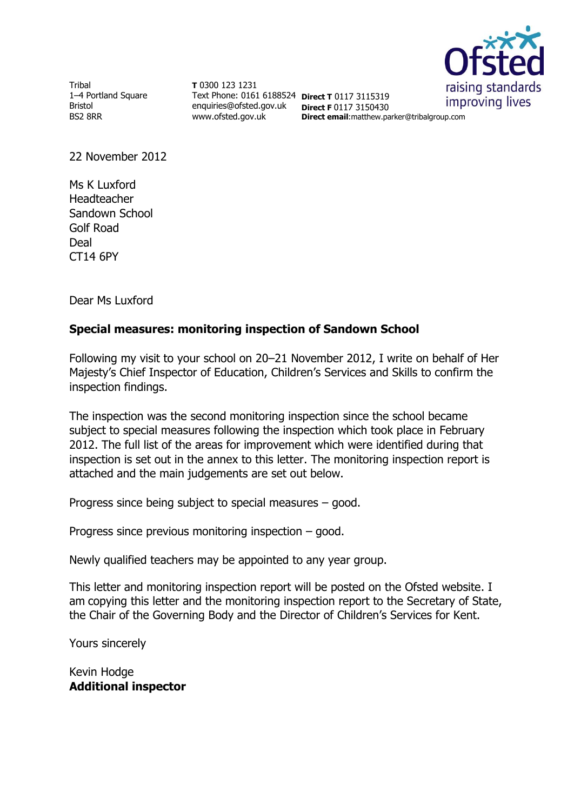

**Tribal** 1–4 Portland Square Bristol BS2 8RR

**T** 0300 123 1231 Text Phone: 0161 6188524 **Direct T** 0117 3115319 enquiries@ofsted.gov.uk **Direct F** 0117 3150430 www.ofsted.gov.uk

**Direct email**:matthew.parker@tribalgroup.com

22 November 2012

Ms K Luxford Headteacher Sandown School Golf Road Deal CT14 6PY

Dear Ms Luxford

#### **Special measures: monitoring inspection of Sandown School**

Following my visit to your school on 20–21 November 2012, I write on behalf of Her Majesty's Chief Inspector of Education, Children's Services and Skills to confirm the inspection findings.

The inspection was the second monitoring inspection since the school became subject to special measures following the inspection which took place in February 2012. The full list of the areas for improvement which were identified during that inspection is set out in the annex to this letter. The monitoring inspection report is attached and the main judgements are set out below.

Progress since being subject to special measures – good.

Progress since previous monitoring inspection – good.

Newly qualified teachers may be appointed to any year group.

This letter and monitoring inspection report will be posted on the Ofsted website. I am copying this letter and the monitoring inspection report to the Secretary of State, the Chair of the Governing Body and the Director of Children's Services for Kent.

Yours sincerely

Kevin Hodge **Additional inspector**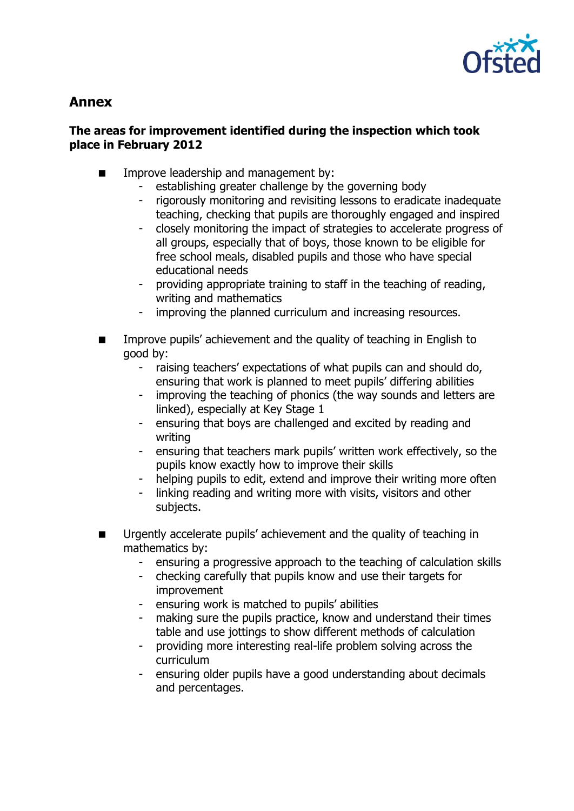

# **Annex**

## **The areas for improvement identified during the inspection which took place in February 2012**

- **IMPROPED EXAMPLE A** Improve leadership and management by:
	- establishing greater challenge by the governing body
	- rigorously monitoring and revisiting lessons to eradicate inadequate teaching, checking that pupils are thoroughly engaged and inspired
	- closely monitoring the impact of strategies to accelerate progress of all groups, especially that of boys, those known to be eligible for free school meals, disabled pupils and those who have special educational needs
	- providing appropriate training to staff in the teaching of reading, writing and mathematics
	- improving the planned curriculum and increasing resources.
- Improve pupils' achievement and the quality of teaching in English to good by:
	- raising teachers' expectations of what pupils can and should do, ensuring that work is planned to meet pupils' differing abilities
	- improving the teaching of phonics (the way sounds and letters are linked), especially at Key Stage 1
	- ensuring that boys are challenged and excited by reading and writing
	- ensuring that teachers mark pupils' written work effectively, so the pupils know exactly how to improve their skills
	- helping pupils to edit, extend and improve their writing more often
	- linking reading and writing more with visits, visitors and other subjects.
- Urgently accelerate pupils' achievement and the quality of teaching in mathematics by:
	- ensuring a progressive approach to the teaching of calculation skills
	- checking carefully that pupils know and use their targets for improvement
	- ensuring work is matched to pupils' abilities
	- making sure the pupils practice, know and understand their times table and use jottings to show different methods of calculation
	- providing more interesting real-life problem solving across the curriculum
	- ensuring older pupils have a good understanding about decimals and percentages.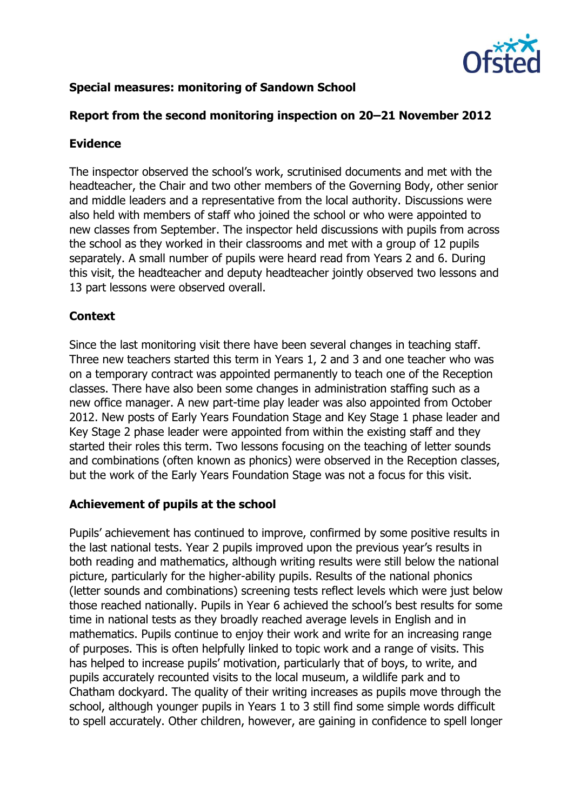

# **Special measures: monitoring of Sandown School**

## **Report from the second monitoring inspection on 20–21 November 2012**

#### **Evidence**

The inspector observed the school's work, scrutinised documents and met with the headteacher, the Chair and two other members of the Governing Body, other senior and middle leaders and a representative from the local authority. Discussions were also held with members of staff who joined the school or who were appointed to new classes from September. The inspector held discussions with pupils from across the school as they worked in their classrooms and met with a group of 12 pupils separately. A small number of pupils were heard read from Years 2 and 6. During this visit, the headteacher and deputy headteacher jointly observed two lessons and 13 part lessons were observed overall.

## **Context**

Since the last monitoring visit there have been several changes in teaching staff. Three new teachers started this term in Years 1, 2 and 3 and one teacher who was on a temporary contract was appointed permanently to teach one of the Reception classes. There have also been some changes in administration staffing such as a new office manager. A new part-time play leader was also appointed from October 2012. New posts of Early Years Foundation Stage and Key Stage 1 phase leader and Key Stage 2 phase leader were appointed from within the existing staff and they started their roles this term. Two lessons focusing on the teaching of letter sounds and combinations (often known as phonics) were observed in the Reception classes, but the work of the Early Years Foundation Stage was not a focus for this visit.

# **Achievement of pupils at the school**

Pupils' achievement has continued to improve, confirmed by some positive results in the last national tests. Year 2 pupils improved upon the previous year's results in both reading and mathematics, although writing results were still below the national picture, particularly for the higher-ability pupils. Results of the national phonics (letter sounds and combinations) screening tests reflect levels which were just below those reached nationally. Pupils in Year 6 achieved the school's best results for some time in national tests as they broadly reached average levels in English and in mathematics. Pupils continue to enjoy their work and write for an increasing range of purposes. This is often helpfully linked to topic work and a range of visits. This has helped to increase pupils' motivation, particularly that of boys, to write, and pupils accurately recounted visits to the local museum, a wildlife park and to Chatham dockyard. The quality of their writing increases as pupils move through the school, although younger pupils in Years 1 to 3 still find some simple words difficult to spell accurately. Other children, however, are gaining in confidence to spell longer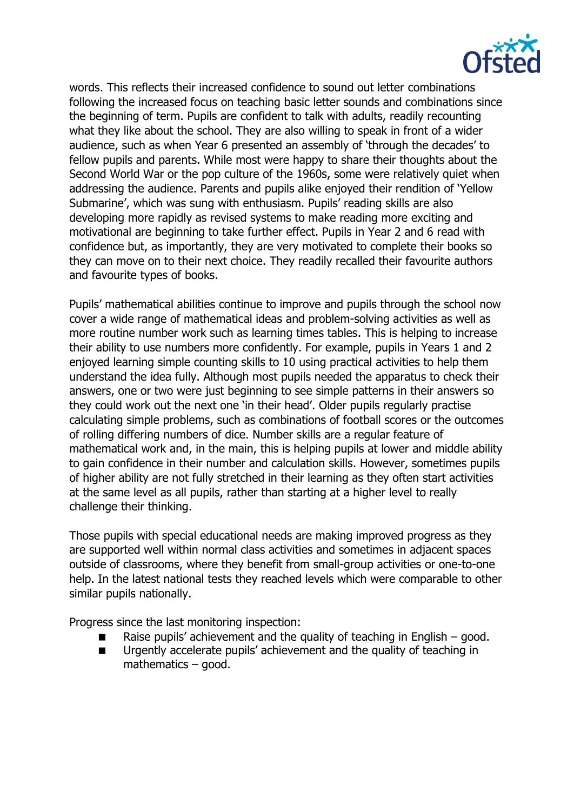

words. This reflects their increased confidence to sound out letter combinations following the increased focus on teaching basic letter sounds and combinations since the beginning of term. Pupils are confident to talk with adults, readily recounting what they like about the school. They are also willing to speak in front of a wider audience, such as when Year 6 presented an assembly of 'through the decades' to fellow pupils and parents. While most were happy to share their thoughts about the Second World War or the pop culture of the 1960s, some were relatively quiet when addressing the audience. Parents and pupils alike enjoyed their rendition of 'Yellow Submarine', which was sung with enthusiasm. Pupils' reading skills are also developing more rapidly as revised systems to make reading more exciting and motivational are beginning to take further effect. Pupils in Year 2 and 6 read with confidence but, as importantly, they are very motivated to complete their books so they can move on to their next choice. They readily recalled their favourite authors and favourite types of books.

Pupils' mathematical abilities continue to improve and pupils through the school now cover a wide range of mathematical ideas and problem-solving activities as well as more routine number work such as learning times tables. This is helping to increase their ability to use numbers more confidently. For example, pupils in Years 1 and 2 enjoyed learning simple counting skills to 10 using practical activities to help them understand the idea fully. Although most pupils needed the apparatus to check their answers, one or two were just beginning to see simple patterns in their answers so they could work out the next one 'in their head'. Older pupils regularly practise calculating simple problems, such as combinations of football scores or the outcomes of rolling differing numbers of dice. Number skills are a regular feature of mathematical work and, in the main, this is helping pupils at lower and middle ability to gain confidence in their number and calculation skills. However, sometimes pupils of higher ability are not fully stretched in their learning as they often start activities at the same level as all pupils, rather than starting at a higher level to really challenge their thinking.

Those pupils with special educational needs are making improved progress as they are supported well within normal class activities and sometimes in adjacent spaces outside of classrooms, where they benefit from small-group activities or one-to-one help. In the latest national tests they reached levels which were comparable to other similar pupils nationally.

Progress since the last monitoring inspection:

- Raise pupils' achievement and the quality of teaching in English good.
- Urgently accelerate pupils' achievement and the quality of teaching in mathematics – good.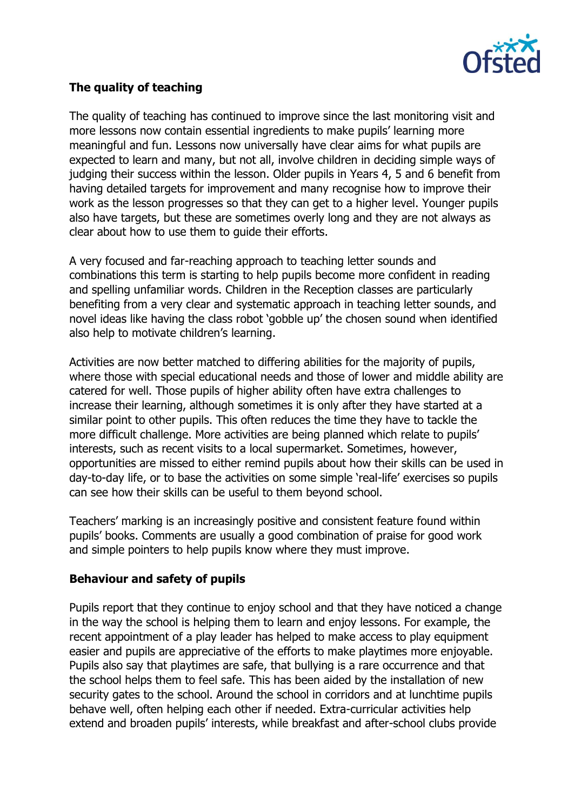

# **The quality of teaching**

The quality of teaching has continued to improve since the last monitoring visit and more lessons now contain essential ingredients to make pupils' learning more meaningful and fun. Lessons now universally have clear aims for what pupils are expected to learn and many, but not all, involve children in deciding simple ways of judging their success within the lesson. Older pupils in Years 4, 5 and 6 benefit from having detailed targets for improvement and many recognise how to improve their work as the lesson progresses so that they can get to a higher level. Younger pupils also have targets, but these are sometimes overly long and they are not always as clear about how to use them to guide their efforts.

A very focused and far-reaching approach to teaching letter sounds and combinations this term is starting to help pupils become more confident in reading and spelling unfamiliar words. Children in the Reception classes are particularly benefiting from a very clear and systematic approach in teaching letter sounds, and novel ideas like having the class robot 'gobble up' the chosen sound when identified also help to motivate children's learning.

Activities are now better matched to differing abilities for the majority of pupils, where those with special educational needs and those of lower and middle ability are catered for well. Those pupils of higher ability often have extra challenges to increase their learning, although sometimes it is only after they have started at a similar point to other pupils. This often reduces the time they have to tackle the more difficult challenge. More activities are being planned which relate to pupils' interests, such as recent visits to a local supermarket. Sometimes, however, opportunities are missed to either remind pupils about how their skills can be used in day-to-day life, or to base the activities on some simple 'real-life' exercises so pupils can see how their skills can be useful to them beyond school.

Teachers' marking is an increasingly positive and consistent feature found within pupils' books. Comments are usually a good combination of praise for good work and simple pointers to help pupils know where they must improve.

#### **Behaviour and safety of pupils**

Pupils report that they continue to enjoy school and that they have noticed a change in the way the school is helping them to learn and enjoy lessons. For example, the recent appointment of a play leader has helped to make access to play equipment easier and pupils are appreciative of the efforts to make playtimes more enjoyable. Pupils also say that playtimes are safe, that bullying is a rare occurrence and that the school helps them to feel safe. This has been aided by the installation of new security gates to the school. Around the school in corridors and at lunchtime pupils behave well, often helping each other if needed. Extra-curricular activities help extend and broaden pupils' interests, while breakfast and after-school clubs provide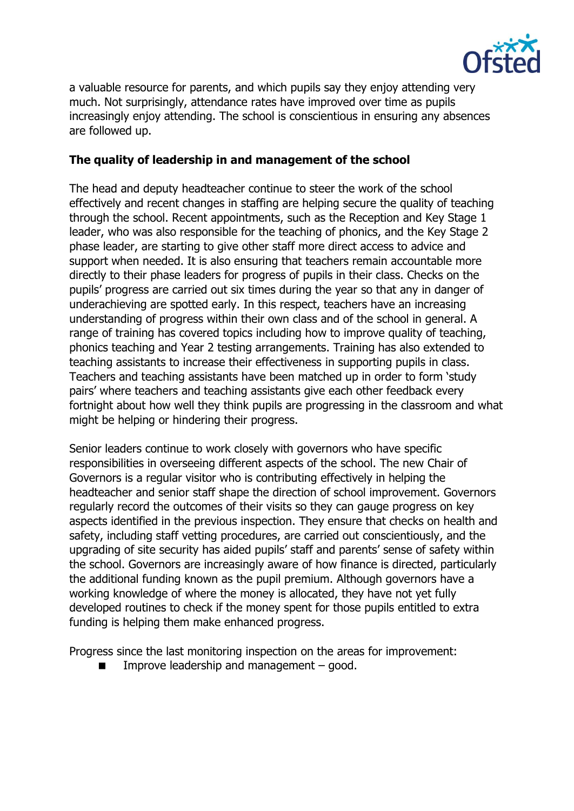

a valuable resource for parents, and which pupils say they enjoy attending very much. Not surprisingly, attendance rates have improved over time as pupils increasingly enjoy attending. The school is conscientious in ensuring any absences are followed up.

#### **The quality of leadership in and management of the school**

The head and deputy headteacher continue to steer the work of the school effectively and recent changes in staffing are helping secure the quality of teaching through the school. Recent appointments, such as the Reception and Key Stage 1 leader, who was also responsible for the teaching of phonics, and the Key Stage 2 phase leader, are starting to give other staff more direct access to advice and support when needed. It is also ensuring that teachers remain accountable more directly to their phase leaders for progress of pupils in their class. Checks on the pupils' progress are carried out six times during the year so that any in danger of underachieving are spotted early. In this respect, teachers have an increasing understanding of progress within their own class and of the school in general. A range of training has covered topics including how to improve quality of teaching, phonics teaching and Year 2 testing arrangements. Training has also extended to teaching assistants to increase their effectiveness in supporting pupils in class. Teachers and teaching assistants have been matched up in order to form 'study pairs' where teachers and teaching assistants give each other feedback every fortnight about how well they think pupils are progressing in the classroom and what might be helping or hindering their progress.

Senior leaders continue to work closely with governors who have specific responsibilities in overseeing different aspects of the school. The new Chair of Governors is a regular visitor who is contributing effectively in helping the headteacher and senior staff shape the direction of school improvement. Governors regularly record the outcomes of their visits so they can gauge progress on key aspects identified in the previous inspection. They ensure that checks on health and safety, including staff vetting procedures, are carried out conscientiously, and the upgrading of site security has aided pupils' staff and parents' sense of safety within the school. Governors are increasingly aware of how finance is directed, particularly the additional funding known as the pupil premium. Although governors have a working knowledge of where the money is allocated, they have not yet fully developed routines to check if the money spent for those pupils entitled to extra funding is helping them make enhanced progress.

Progress since the last monitoring inspection on the areas for improvement:

 $\blacksquare$  Improve leadership and management – good.